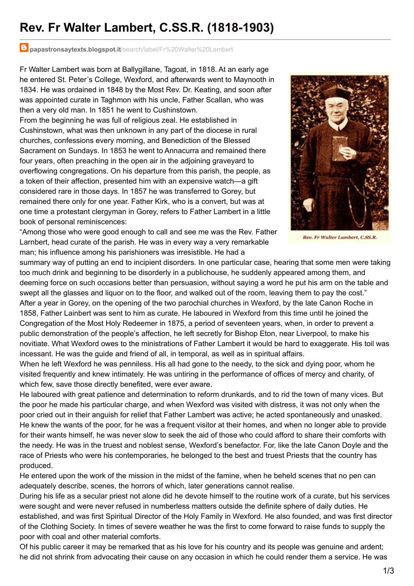## **Rev. Fr Walter Lambert, C.SS.R. (1818-1903)**

**papastronsaytexts.blogspot.it**[/search/label/Fr%20Walter%20Lambert](http://papastronsaytexts.blogspot.it/search/label/Fr Walter Lambert)

Fr Walter Lambert was born at Ballygillane, Tagoat, in 1818. At an early age he entered St. Peter's College, Wexford, and afterwards went to Maynooth in 1834. He was ordained in 1848 by the Most Rev. Dr. Keating, and soon after was appointed curate in Taghmon with his uncle, Father Scallan, who was then a very old man. In 1851 he went to Cushinstown.

From the beginning he was full of religious zeal. He established in Cushinstown, what was then unknown in any part of the diocese in rural churches, confessions every morning, and Benediction of the Blessed Sacrament on Sundays. In 1853 he went to Annacurra and remained there four years, often preaching in the open air in the adjoining graveyard to overflowing congregations. On his departure from this parish, the people, as a token of their affection, presented him with an expensive watch—a gift considered rare in those days. In 1857 he was transferred to Gorey, but remained there only for one year. Father Kirk, who is a convert, but was at one time a protestant clergyman in Gorey, refers to Father Lambert in a little book of personal reminiscences:

"Among those who were good enough to call and see me was the Rev. Father Larnbert, head curate of the parish. He was in every way a very remarkable man; his influence among his parishioners was irresistible. He had a



Ren. Fr Walter Lambert, C.SS.R.

summary way of putting an end to incipient disorders. In one particular case, hearing that some men were taking too much drink and beginning to be disorderly in a publichouse, he suddenly appeared among them, and deeming force on such occasions better than persuasion, without saying a word he put his arm on the table and swept all the glasses and liquor on to the floor, and walked out of the room, leaving them to pay the cost." After a year in Gorey, on the opening of the two parochial churches in Wexford, by the late Canon Roche in 1858, Father Lainbert was sent to him as curate. He laboured in Wexford from this time until he joined the Congregation of the Most Holy Redeemer in 1875, a period of seventeen years, when, in order to prevent a public demonstration of the people's affection, he left secretly for Bishop Eton, near Liverpool, to make his novitiate. What Wexford owes to the ministrations of Father Lambert it would be hard to exaggerate. His toil was incessant. He was the guide and friend of all, in temporal, as well as in spiritual affairs.

When he left Wexford he was penniless. His all had gone to the needy, to the sick and dying poor, whom he visited frequently and knew intimately. He was untiring in the performance of offices of mercy and charity, of which few, save those directly benefited, were ever aware.

He laboured with great patience and determination to reform drunkards, and to rid the town of many vices. But the poor he made his particular charge, and when Wexford was visited with distress, it was not only when the poor cried out in their anguish for relief that Father Lambert was active; he acted spontaneously and unasked. He knew the wants of the poor, for he was a frequent visitor at their homes, and when no longer able to provide for their wants himself, he was never slow to seek the aid of those who could afford to share their comforts with the needy. He was in the truest and noblest sense, Wexford's benefactor. For, like the late Canon Doyle and the race of Priests who were his contemporaries, he belonged to the best and truest Priests that the country has produced.

He entered upon the work of the mission in the midst of the famine, when he beheld scenes that no pen can adequately describe, scenes, the horrors of which, later generations cannot realise.

During his life as a secular priest not alone did he devote himself to the routine work of a curate, but his services were sought and were never refused in numberless matters outside the definite sphere of daily duties. He established, and was first Spiritual Director of the Holy Family in Wexford. He also founded, and was first director of the Clothing Society. In times of severe weather he was the first to come forward to raise funds to supply the poor with coal and other material comforts.

Of his public career it may be remarked that as his love for his country and its people was genuine and ardent; he did not shrink from advocating their cause on any occasion in which he could render them a service. He was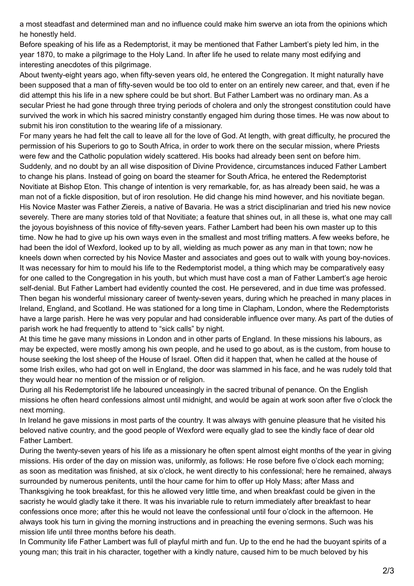a most steadfast and determined man and no influence could make him swerve an iota from the opinions which he honestly held.

Before speaking of his life as a Redemptorist, it may be mentioned that Father Lambert's piety led him, in the year 1870, to make a pilgrimage to the Holy Land. In after life he used to relate many most edifying and interesting anecdotes of this pilgrimage.

About twenty-eight years ago, when fifty-seven years old, he entered the Congregation. It might naturally have been supposed that a man of fifty-seven would be too old to enter on an entirely new career, and that, even if he did attempt this his life in a new sphere could be but short. But Father Lambert was no ordinary man. As a secular Priest he had gone through three trying periods of cholera and only the strongest constitution could have survived the work in which his sacred ministry constantly engaged him during those times. He was now about to submit his iron constitution to the wearing life of a missionary.

For many years he had felt the call to leave all for the love of God. At length, with great difficulty, he procured the permission of his Superiors to go to South Africa, in order to work there on the secular mission, where Priests were few and the Catholic population widely scattered. His books had already been sent on before him. Suddenly, and no doubt by an all wise disposition of Divine Providence, circumstances induced Father Lambert to change his plans. Instead of going on board the steamer for South Africa, he entered the Redemptorist Novitiate at Bishop Eton. This change of intention is very remarkable, for, as has already been said, he was a man not of a fickle disposition, but of iron resolution. He did change his mind however, and his novitiate began. His Novice Master was Father Ziereis, a native of Bavaria. He was a strict disciplinarian and tried his new novice severely. There are many stories told of that Novitiate; a feature that shines out, in all these is, what one may call the joyous boyishness of this novice of fifty-seven years. Father Lambert had been his own master up to this time. Now he had to give up his own ways even in the smallest and most trifling matters. A few weeks before, he had been the idol of Wexford, looked up to by all, wielding as much power as any man in that town; now he kneels down when corrected by his Novice Master and associates and goes out to walk with young boy-novices. It was necessary for him to mould his life to the Redemptorist model, a thing which may be comparatively easy for one called to the Congregation in his youth, but which must have cost a man of Father Lambert's age heroic self-denial. But Father Lambert had evidently counted the cost. He persevered, and in due time was professed. Then began his wonderful missionary career of twenty-seven years, during which he preached in many places in Ireland, England, and Scotland. He was stationed for a long time in Clapham, London, where the Redemptorists have a large parish. Here he was very popular and had considerable influence over many. As part of the duties of parish work he had frequently to attend to "sick calls" by night.

At this time he gave many missions in London and in other parts of England. In these missions his labours, as may be expected, were mostly among his own people, and he used to go about, as is the custom, from house to house seeking the lost sheep of the House of Israel. Often did it happen that, when he called at the house of some Irish exiles, who had got on well in England, the door was slammed in his face, and he was rudely told that they would hear no mention of the mission or of religion.

During all his Redemptorist life he laboured unceasingly in the sacred tribunal of penance. On the English missions he often heard confessions almost until midnight, and would be again at work soon after five o'clock the next morning.

In Ireland he gave missions in most parts of the country. It was always with genuine pleasure that he visited his beloved native country, and the good people of Wexford were equally glad to see the kindly face of dear old Father Lambert.

During the twenty-seven years of his life as a missionary he often spent almost eight months of the year in giving missions. His order of the day on mission was, uniformly, as follows: He rose before five o'clock each morning; as soon as meditation was finished, at six o'clock, he went directly to his confessional; here he remained, always surrounded by numerous penitents, until the hour came for him to offer up Holy Mass; after Mass and Thanksgiving he took breakfast, for this he allowed very little time, and when breakfast could be given in the sacristy he would gladly take it there. It was his invariable rule to return immediately after breakfast to hear confessions once more; after this he would not leave the confessional until four o'clock in the afternoon. He always took his turn in giving the morning instructions and in preaching the evening sermons. Such was his mission life until three months before his death.

In Community life Father Lambert was full of playful mirth and fun. Up to the end he had the buoyant spirits of a young man; this trait in his character, together with a kindly nature, caused him to be much beloved by his